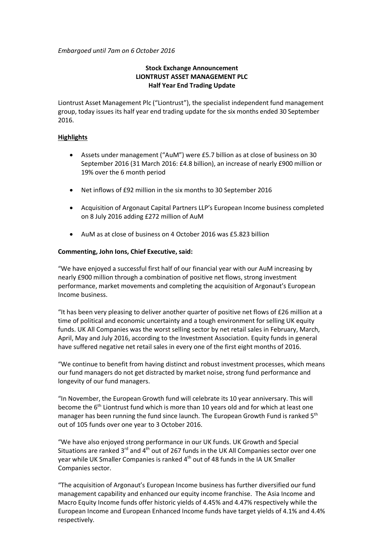*Embargoed until 7am on 6 October 2016*

# **Stock Exchange Announcement LIONTRUST ASSET MANAGEMENT PLC Half Year End Trading Update**

Liontrust Asset Management Plc ("Liontrust"), the specialist independent fund management group, today issues its half year end trading update for the six months ended 30 September 2016.

# **Highlights**

- Assets under management ("AuM") were £5.7 billion as at close of business on 30 September 2016 (31 March 2016: £4.8 billion), an increase of nearly £900 million or 19% over the 6 month period
- Net inflows of £92 million in the six months to 30 September 2016
- Acquisition of Argonaut Capital Partners LLP's European Income business completed on 8 July 2016 adding £272 million of AuM
- AuM as at close of business on 4 October 2016 was £5.823 billion

# **Commenting, John Ions, Chief Executive, said:**

"We have enjoyed a successful first half of our financial year with our AuM increasing by nearly £900 million through a combination of positive net flows, strong investment performance, market movements and completing the acquisition of Argonaut's European Income business.

"It has been very pleasing to deliver another quarter of positive net flows of £26 million at a time of political and economic uncertainty and a tough environment for selling UK equity funds. UK All Companies was the worst selling sector by net retail sales in February, March, April, May and July 2016, according to the Investment Association. Equity funds in general have suffered negative net retail sales in every one of the first eight months of 2016.

"We continue to benefit from having distinct and robust investment processes, which means our fund managers do not get distracted by market noise, strong fund performance and longevity of our fund managers.

"In November, the European Growth fund will celebrate its 10 year anniversary. This will become the 6th Liontrust fund which is more than 10 years old and for which at least one manager has been running the fund since launch. The European Growth Fund is ranked 5<sup>th</sup> out of 105 funds over one year to 3 October 2016.

"We have also enjoyed strong performance in our UK funds. UK Growth and Special Situations are ranked  $3^{rd}$  and  $4^{th}$  out of 267 funds in the UK All Companies sector over one year while UK Smaller Companies is ranked 4<sup>th</sup> out of 48 funds in the IA UK Smaller Companies sector.

"The acquisition of Argonaut's European Income business has further diversified our fund management capability and enhanced our equity income franchise. The Asia Income and Macro Equity Income funds offer historic yields of 4.45% and 4.47% respectively while the European Income and European Enhanced Income funds have target yields of 4.1% and 4.4% respectively.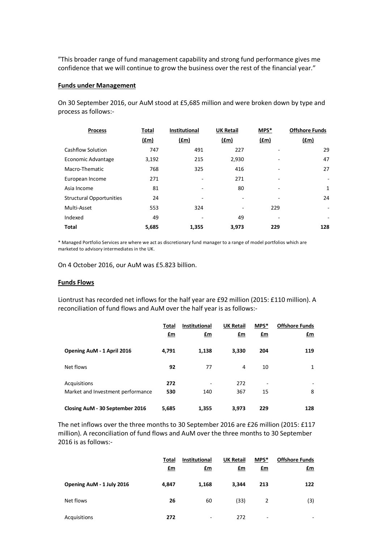"This broader range of fund management capability and strong fund performance gives me confidence that we will continue to grow the business over the rest of the financial year."

### **Funds under Management**

On 30 September 2016, our AuM stood at £5,685 million and were broken down by type and process as follows:-

| <b>Process</b>                  | Total       | <b>Institutional</b> | <b>UK Retail</b> | MPS*          | <b>Offshore Funds</b>    |
|---------------------------------|-------------|----------------------|------------------|---------------|--------------------------|
|                                 | <u>(£m)</u> | $(\text{fm})$        | <u>(£m)</u>      | $(\text{fm})$ | $(\text{fm})$            |
| Cashflow Solution               | 747         | 491                  | 227              | ٠             | 29                       |
| Economic Advantage              | 3,192       | 215                  | 2,930            | -             | 47                       |
| Macro-Thematic                  | 768         | 325                  | 416              | ٠             | 27                       |
| European Income                 | 271         |                      | 271              | ٠             | ٠                        |
| Asia Income                     | 81          |                      | 80               | ٠             | 1                        |
| <b>Structural Opportunities</b> | 24          | -                    | ٠                | ٠             | 24                       |
| Multi-Asset                     | 553         | 324                  | ٠                | 229           | $\overline{\phantom{a}}$ |
| Indexed                         | 49          |                      | 49               | ٠             | ۰                        |
| <b>Total</b>                    | 5,685       | 1,355                | 3,973            | 229           | 128                      |

\* Managed Portfolio Services are where we act as discretionary fund manager to a range of model portfolios which are marketed to advisory intermediates in the UK.

On 4 October 2016, our AuM was £5.823 billion.

### **Funds Flows**

Liontrust has recorded net inflows for the half year are £92 million (2015: £110 million). A reconciliation of fund flows and AuM over the half year is as follows:-

|                                                   | Total<br><u>£m</u> | <b>Institutional</b><br>$\mathbf{f}$ m | <b>UK Retail</b><br><u>£m</u> | MPS*<br><u>£m</u> | <b>Offshore Funds</b><br><u>£m</u> |
|---------------------------------------------------|--------------------|----------------------------------------|-------------------------------|-------------------|------------------------------------|
| Opening AuM - 1 April 2016                        | 4,791              | 1,138                                  | 3,330                         | 204               | 119                                |
| Net flows                                         | 92                 | 77                                     | 4                             | 10                | 1                                  |
| Acquisitions<br>Market and Investment performance | 272<br>530         | ٠<br>140                               | 272<br>367                    | ٠<br>15           | 8                                  |
| Closing AuM - 30 September 2016                   | 5,685              | 1,355                                  | 3,973                         | 229               | 128                                |

The net inflows over the three months to 30 September 2016 are £26 million (2015: £117 million). A reconciliation of fund flows and AuM over the three months to 30 September 2016 is as follows:-

|                           | Total     | <b>Institutional</b> | <b>UK Retail</b> | MPS*      | <b>Offshore Funds</b> |
|---------------------------|-----------|----------------------|------------------|-----------|-----------------------|
|                           | <u>£m</u> | £m                   | $\mathbf{f}$ m   | <u>£m</u> | $\mathbf{f}$ m        |
| Opening AuM - 1 July 2016 | 4,847     | 1,168                | 3,344            | 213       | 122                   |
| Net flows                 | 26        | 60                   | (33)             | 2         | (3)                   |
| Acquisitions              | 272       | ۰                    | 272              | -         | ٠                     |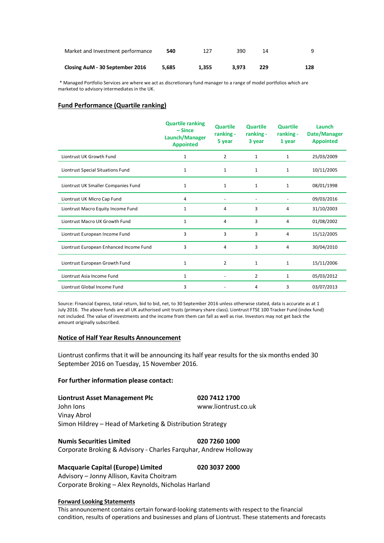| Market and Investment performance | 540   | 127   | 390   | 14  |     |
|-----------------------------------|-------|-------|-------|-----|-----|
| Closing AuM - 30 September 2016   | 5.685 | 1.355 | 3.973 | 229 | 128 |

\* Managed Portfolio Services are where we act as discretionary fund manager to a range of model portfolios which are marketed to advisory intermediates in the UK.

# **Fund Performance (Quartile ranking)**

|                                         | <b>Quartile ranking</b><br>$-$ Since<br>Launch/Manager<br><b>Appointed</b> | <b>Quartile</b><br>ranking -<br>5 year | <b>Quartile</b><br>ranking -<br>3 year | <b>Quartile</b><br>ranking -<br>1 year | Launch<br>Date/Manager<br><b>Appointed</b> |
|-----------------------------------------|----------------------------------------------------------------------------|----------------------------------------|----------------------------------------|----------------------------------------|--------------------------------------------|
| Liontrust UK Growth Fund                | 1                                                                          | $\overline{2}$                         | 1                                      | 1                                      | 25/03/2009                                 |
| Liontrust Special Situations Fund       | 1                                                                          | $\mathbf{1}$                           | 1                                      | $\mathbf{1}$                           | 10/11/2005                                 |
| Liontrust UK Smaller Companies Fund     | 1                                                                          | 1                                      | 1                                      | $\mathbf{1}$                           | 08/01/1998                                 |
| Liontrust UK Micro Cap Fund             | 4                                                                          |                                        |                                        | $\overline{\phantom{a}}$               | 09/03/2016                                 |
| Liontrust Macro Equity Income Fund      | 1                                                                          | 4                                      | 3                                      | 4                                      | 31/10/2003                                 |
| Liontrust Macro UK Growth Fund          | 1                                                                          | 4                                      | 3                                      | 4                                      | 01/08/2002                                 |
| Liontrust European Income Fund          | 3                                                                          | 3                                      | 3                                      | 4                                      | 15/12/2005                                 |
| Liontrust European Enhanced Income Fund | 3                                                                          | 4                                      | 3                                      | 4                                      | 30/04/2010                                 |
| Liontrust European Growth Fund          | $\mathbf{1}$                                                               | $\overline{2}$                         | $\mathbf{1}$                           | $\mathbf{1}$                           | 15/11/2006                                 |
| Liontrust Asia Income Fund              | 1                                                                          |                                        | 2                                      | 1                                      | 05/03/2012                                 |
| Liontrust Global Income Fund            | 3                                                                          |                                        | 4                                      | 3                                      | 03/07/2013                                 |

Source: Financial Express, total return, bid to bid, net, to 30 September 2016 unless otherwise stated, data is accurate as at 1 July 2016. The above funds are all UK authorised unit trusts (primary share class). Liontrust FTSE 100 Tracker Fund (index fund) not included. The value of investments and the income from them can fall as well as rise. Investors may not get back the amount originally subscribed.

### **Notice of Half Year Results Announcement**

Liontrust confirms that it will be announcing its half year results for the six months ended 30 September 2016 on Tuesday, 15 November 2016.

#### **For further information please contact:**

**Liontrust Asset Management Plc 020 7412 1700**  John Ions www.liontrust.co.uk Vinay Abrol

Simon Hildrey – Head of Marketing & Distribution Strategy

**Numis Securities Limited 020 7260 1000** Corporate Broking & Advisory - Charles Farquhar, Andrew Holloway

### **Macquarie Capital (Europe) Limited 020 3037 2000**

Advisory – Jonny Allison, Kavita Choitram Corporate Broking – Alex Reynolds, Nicholas Harland

#### **Forward Looking Statements**

This announcement contains certain forward-looking statements with respect to the financial condition, results of operations and businesses and plans of Liontrust. These statements and forecasts